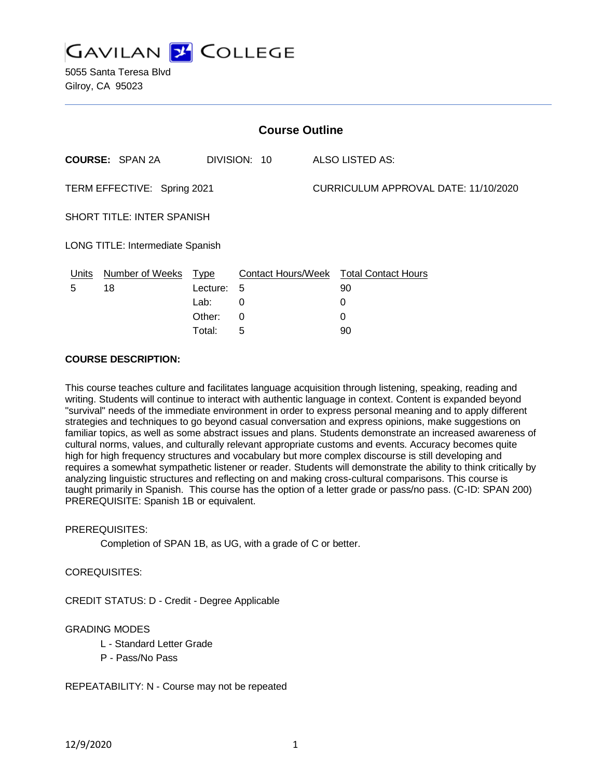

5055 Santa Teresa Blvd Gilroy, CA 95023

| <b>Course Outline</b>            |                        |          |              |  |                                        |  |  |
|----------------------------------|------------------------|----------|--------------|--|----------------------------------------|--|--|
|                                  | <b>COURSE: SPAN 2A</b> |          | DIVISION: 10 |  | <b>ALSO LISTED AS:</b>                 |  |  |
| TERM EFFECTIVE: Spring 2021      |                        |          |              |  | CURRICULUM APPROVAL DATE: 11/10/2020   |  |  |
| SHORT TITLE: INTER SPANISH       |                        |          |              |  |                                        |  |  |
| LONG TITLE: Intermediate Spanish |                        |          |              |  |                                        |  |  |
| Units                            | Number of Weeks Type   |          |              |  | Contact Hours/Week Total Contact Hours |  |  |
| 5                                | 18                     | Lecture: | 5            |  | 90                                     |  |  |
|                                  |                        | Lab:     | 0            |  | 0                                      |  |  |
|                                  |                        | Other:   | 0            |  | 0                                      |  |  |
|                                  |                        | Total:   | 5            |  | 90                                     |  |  |

### **COURSE DESCRIPTION:**

This course teaches culture and facilitates language acquisition through listening, speaking, reading and writing. Students will continue to interact with authentic language in context. Content is expanded beyond "survival" needs of the immediate environment in order to express personal meaning and to apply different strategies and techniques to go beyond casual conversation and express opinions, make suggestions on familiar topics, as well as some abstract issues and plans. Students demonstrate an increased awareness of cultural norms, values, and culturally relevant appropriate customs and events. Accuracy becomes quite high for high frequency structures and vocabulary but more complex discourse is still developing and requires a somewhat sympathetic listener or reader. Students will demonstrate the ability to think critically by analyzing linguistic structures and reflecting on and making cross-cultural comparisons. This course is taught primarily in Spanish. This course has the option of a letter grade or pass/no pass. (C-ID: SPAN 200) PREREQUISITE: Spanish 1B or equivalent.

#### PREREQUISITES:

Completion of SPAN 1B, as UG, with a grade of C or better.

#### COREQUISITES:

CREDIT STATUS: D - Credit - Degree Applicable

#### GRADING MODES

- L Standard Letter Grade
- P Pass/No Pass

#### REPEATABILITY: N - Course may not be repeated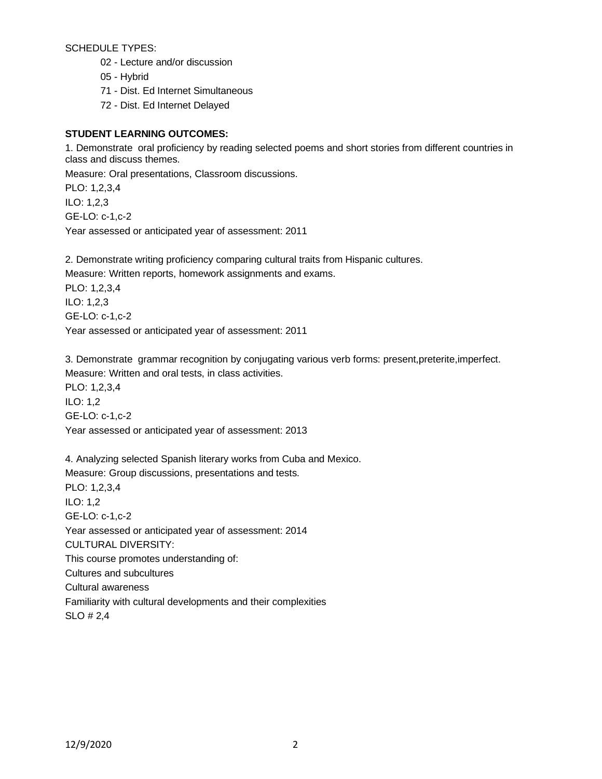SCHEDULE TYPES:

- 02 Lecture and/or discussion
- 05 Hybrid
- 71 Dist. Ed Internet Simultaneous
- 72 Dist. Ed Internet Delayed

# **STUDENT LEARNING OUTCOMES:**

1. Demonstrate oral proficiency by reading selected poems and short stories from different countries in class and discuss themes.

Measure: Oral presentations, Classroom discussions.

PLO: 1,2,3,4 ILO: 1,2,3 GE-LO: c-1,c-2

Year assessed or anticipated year of assessment: 2011

2. Demonstrate writing proficiency comparing cultural traits from Hispanic cultures.

Measure: Written reports, homework assignments and exams.

PLO: 1,2,3,4 ILO: 1,2,3 GE-LO: c-1,c-2 Year assessed or anticipated year of assessment: 2011

3. Demonstrate grammar recognition by conjugating various verb forms: present,preterite,imperfect. Measure: Written and oral tests, in class activities. PLO: 1,2,3,4 ILO: 1,2 GE-LO: c-1,c-2 Year assessed or anticipated year of assessment: 2013

4. Analyzing selected Spanish literary works from Cuba and Mexico. Measure: Group discussions, presentations and tests. PLO: 1,2,3,4 ILO: 1,2 GE-LO: c-1,c-2 Year assessed or anticipated year of assessment: 2014 CULTURAL DIVERSITY: This course promotes understanding of: Cultures and subcultures Cultural awareness Familiarity with cultural developments and their complexities SLO # 2,4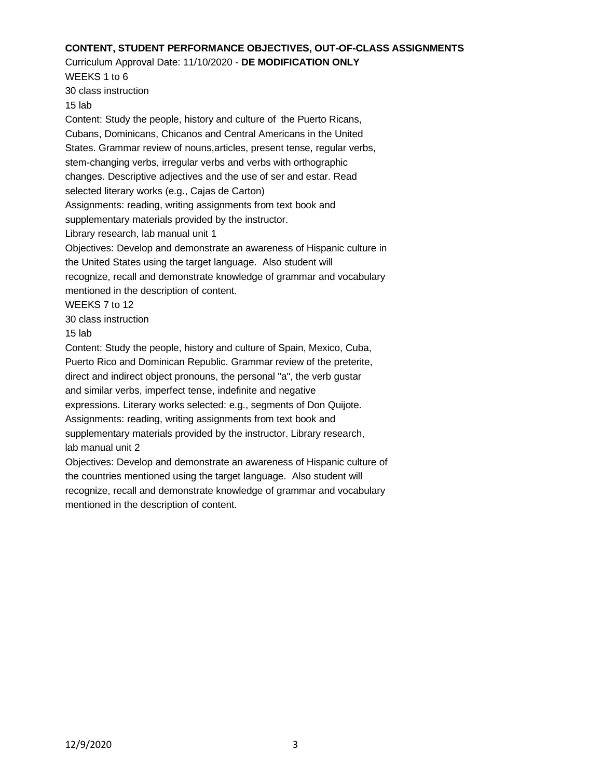## **CONTENT, STUDENT PERFORMANCE OBJECTIVES, OUT-OF-CLASS ASSIGNMENTS**

### Curriculum Approval Date: 11/10/2020 - **DE MODIFICATION ONLY**

WEEKS 1 to 6 30 class instruction

15 lab

Content: Study the people, history and culture of the Puerto Ricans, Cubans, Dominicans, Chicanos and Central Americans in the United States. Grammar review of nouns,articles, present tense, regular verbs, stem-changing verbs, irregular verbs and verbs with orthographic changes. Descriptive adjectives and the use of ser and estar. Read selected literary works (e.g., Cajas de Carton) Assignments: reading, writing assignments from text book and supplementary materials provided by the instructor. Library research, lab manual unit 1 Objectives: Develop and demonstrate an awareness of Hispanic culture in the United States using the target language. Also student will recognize, recall and demonstrate knowledge of grammar and vocabulary mentioned in the description of content. WEEKS 7 to 12 30 class instruction 15 lab Content: Study the people, history and culture of Spain, Mexico, Cuba, Puerto Rico and Dominican Republic. Grammar review of the preterite, direct and indirect object pronouns, the personal "a", the verb gustar and similar verbs, imperfect tense, indefinite and negative expressions. Literary works selected: e.g., segments of Don Quijote. Assignments: reading, writing assignments from text book and supplementary materials provided by the instructor. Library research, lab manual unit 2

Objectives: Develop and demonstrate an awareness of Hispanic culture of the countries mentioned using the target language. Also student will recognize, recall and demonstrate knowledge of grammar and vocabulary mentioned in the description of content.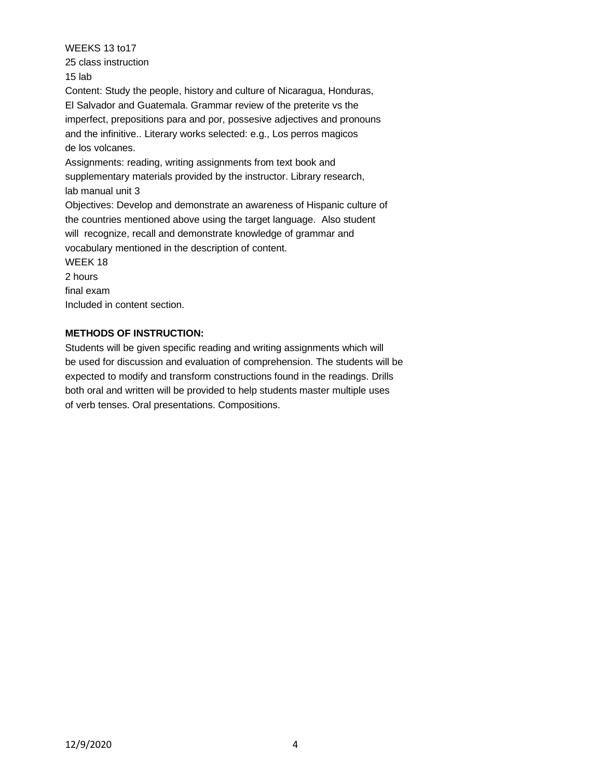WEEKS 13 to17 25 class instruction 15 lab

Content: Study the people, history and culture of Nicaragua, Honduras, El Salvador and Guatemala. Grammar review of the preterite vs the imperfect, prepositions para and por, possesive adjectives and pronouns and the infinitive.. Literary works selected: e.g., Los perros magicos de los volcanes.

Assignments: reading, writing assignments from text book and supplementary materials provided by the instructor. Library research, lab manual unit 3

Objectives: Develop and demonstrate an awareness of Hispanic culture of the countries mentioned above using the target language. Also student will recognize, recall and demonstrate knowledge of grammar and vocabulary mentioned in the description of content.

WEEK 18

2 hours

final exam

Included in content section.

## **METHODS OF INSTRUCTION:**

Students will be given specific reading and writing assignments which will be used for discussion and evaluation of comprehension. The students will be expected to modify and transform constructions found in the readings. Drills both oral and written will be provided to help students master multiple uses of verb tenses. Oral presentations. Compositions.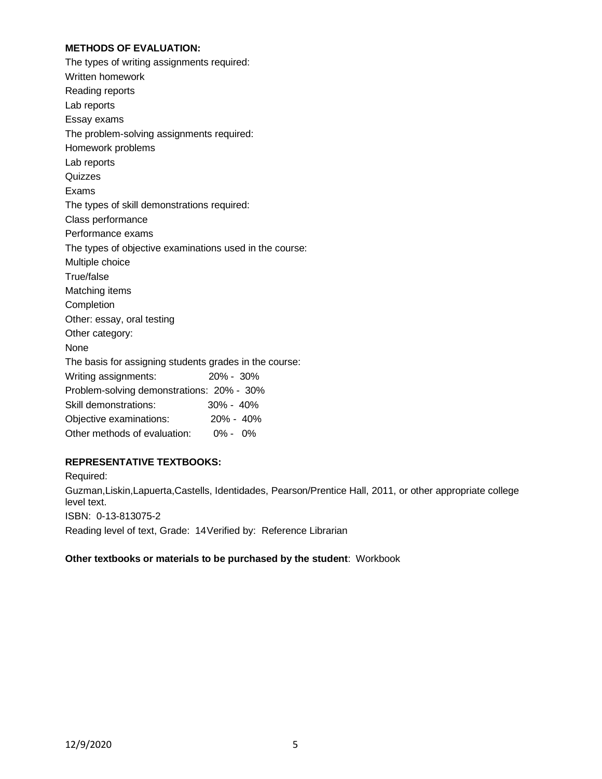### **METHODS OF EVALUATION:**

| The types of writing assignments required:              |               |
|---------------------------------------------------------|---------------|
| Written homework                                        |               |
| Reading reports                                         |               |
| Lab reports                                             |               |
| Essay exams                                             |               |
| The problem-solving assignments required:               |               |
| Homework problems                                       |               |
| Lab reports                                             |               |
| Quizzes                                                 |               |
| Exams                                                   |               |
| The types of skill demonstrations required:             |               |
| Class performance                                       |               |
| Performance exams                                       |               |
| The types of objective examinations used in the course: |               |
| Multiple choice                                         |               |
| True/false                                              |               |
| Matching items                                          |               |
| Completion                                              |               |
| Other: essay, oral testing                              |               |
| Other category:                                         |               |
| None                                                    |               |
| The basis for assigning students grades in the course:  |               |
| Writing assignments:                                    | 20% - 30%     |
| Problem-solving demonstrations: 20% - 30%               |               |
| Skill demonstrations:                                   | 30% - 40%     |
| Objective examinations:                                 | $20\% - 40\%$ |
| Other methods of evaluation:                            | $0\% - 0\%$   |

## **REPRESENTATIVE TEXTBOOKS:**

Required: Guzman,Liskin,Lapuerta,Castells, Identidades, Pearson/Prentice Hall, 2011, or other appropriate college level text. ISBN: 0-13-813075-2 Reading level of text, Grade: 14Verified by: Reference Librarian

### **Other textbooks or materials to be purchased by the student**: Workbook